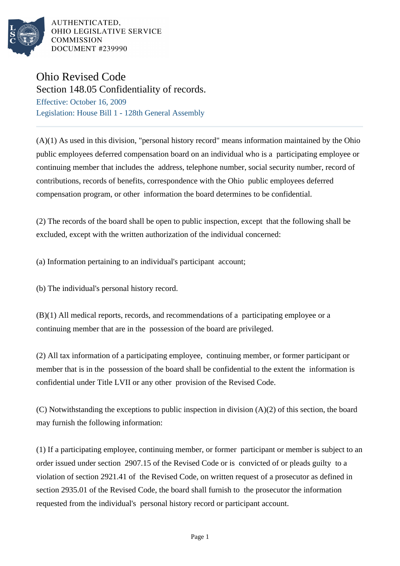

AUTHENTICATED, OHIO LEGISLATIVE SERVICE **COMMISSION DOCUMENT #239990** 

## Ohio Revised Code

Section 148.05 Confidentiality of records. Effective: October 16, 2009

Legislation: House Bill 1 - 128th General Assembly

(A)(1) As used in this division, "personal history record" means information maintained by the Ohio public employees deferred compensation board on an individual who is a participating employee or continuing member that includes the address, telephone number, social security number, record of contributions, records of benefits, correspondence with the Ohio public employees deferred compensation program, or other information the board determines to be confidential.

(2) The records of the board shall be open to public inspection, except that the following shall be excluded, except with the written authorization of the individual concerned:

(a) Information pertaining to an individual's participant account;

(b) The individual's personal history record.

(B)(1) All medical reports, records, and recommendations of a participating employee or a continuing member that are in the possession of the board are privileged.

(2) All tax information of a participating employee, continuing member, or former participant or member that is in the possession of the board shall be confidential to the extent the information is confidential under Title LVII or any other provision of the Revised Code.

(C) Notwithstanding the exceptions to public inspection in division  $(A)(2)$  of this section, the board may furnish the following information:

(1) If a participating employee, continuing member, or former participant or member is subject to an order issued under section 2907.15 of the Revised Code or is convicted of or pleads guilty to a violation of section 2921.41 of the Revised Code, on written request of a prosecutor as defined in section 2935.01 of the Revised Code, the board shall furnish to the prosecutor the information requested from the individual's personal history record or participant account.